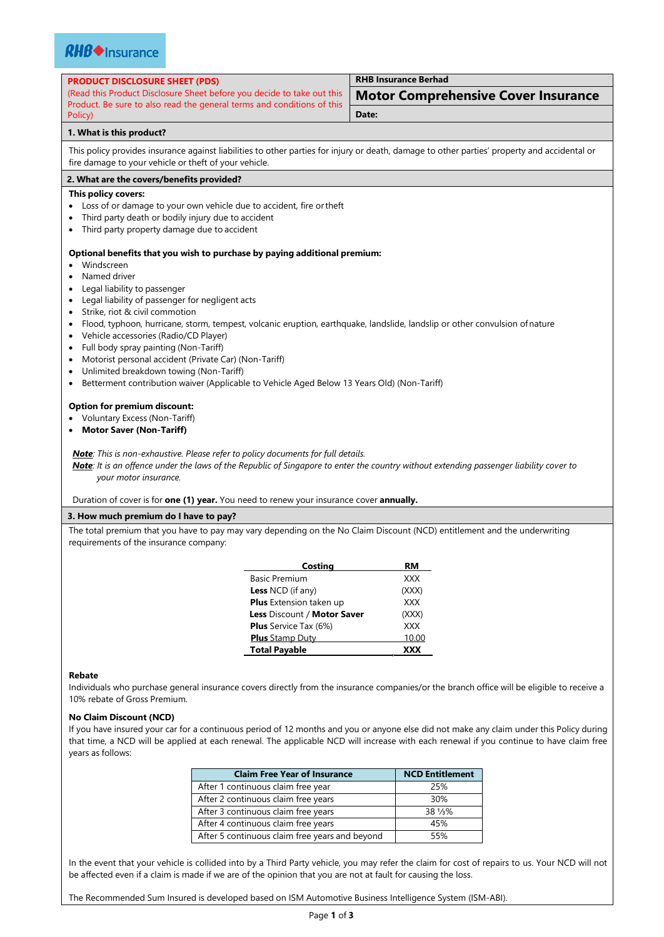

| <b>PRODUCT DISCLOSURE SHEET (PDS)</b> |  |
|---------------------------------------|--|
|---------------------------------------|--|

(Read this Product Disclosure Sheet before you decide to take out this Product. Be sure to also read the general terms and conditions of this Policy)

**RHB Insurance Berhad**

|       | <b>Motor Comprehensive Cover Insurance</b> |  |
|-------|--------------------------------------------|--|
| Date: |                                            |  |

### **1. What is this product?**

This policy provides insurance against liabilities to other parties for injury or death, damage to other parties' property and accidental or fire damage to your vehicle or theft of your vehicle.

# **2. What are the covers/benefits provided?**

# **This policy covers:**

- Loss of or damage to your own vehicle due to accident, fire ortheft
- Third party death or bodily injury due to accident
- Third party property damage due to accident

#### **Optional benefits that you wish to purchase by paying additional premium:**

- Windscreen
- Named driver
- Legal liability to passenger
- Legal liability of passenger for negligent acts
- Strike, riot & civil commotion
- Flood, typhoon, hurricane, storm, tempest, volcanic eruption, earthquake, landslide, landslip or other convulsion ofnature
- Vehicle accessories (Radio/CD Player)
- Full body spray painting (Non-Tariff)
- Motorist personal accident (Private Car) (Non-Tariff)
- Unlimited breakdown towing (Non-Tariff)
- **Betterment contribution waiver (Applicable to Vehicle Aged Below 13 Years Old) (Non-Tariff)**

#### **Option for premium discount:**

- Voluntary Excess (Non-Tariff)
- **Motor Saver (Non-Tariff)**

*Note: This is non-exhaustive. Please refer to policy documents for full details.*

*Note: It is an offence under the laws of the Republic of Singapore to enter the country without extending passenger liability cover to your motor insurance.*

Duration of cover is for **one (1) year.** You need to renew your insurance cover **annually.**

## **3. How much premium do I have to pay?**

The total premium that you have to pay may vary depending on the No Claim Discount (NCD) entitlement and the underwriting requirements of the insurance company:

| Costing                      | RM         |
|------------------------------|------------|
| <b>Basic Premium</b>         | XXX        |
| <b>Less NCD</b> (if any)     | (XXX)      |
| Plus Extension taken up      | <b>XXX</b> |
| Less Discount / Motor Saver  | (XXX)      |
| <b>Plus</b> Service Tax (6%) | <b>XXX</b> |
| <b>Plus</b> Stamp Duty       | 10.00      |
| <b>Total Payable</b>         |            |

#### **Rebate**

Individuals who purchase general insurance covers directly from the insurance companies/or the branch office will be eligible to receive a 10% rebate of Gross Premium.

#### **No Claim Discount (NCD)**

If you have insured your car for a continuous period of 12 months and you or anyone else did not make any claim under this Policy during that time, a NCD will be applied at each renewal. The applicable NCD will increase with each renewal if you continue to have claim free years as follows:

| <b>Claim Free Year of Insurance</b>            | <b>NCD Entitlement</b> |
|------------------------------------------------|------------------------|
| After 1 continuous claim free year             | 25%                    |
| After 2 continuous claim free years            | 30%                    |
| After 3 continuous claim free years            | 38 1/3%                |
| After 4 continuous claim free years            | 45%                    |
| After 5 continuous claim free years and beyond | 55%                    |

In the event that your vehicle is collided into by a Third Party vehicle, you may refer the claim for cost of repairs to us. Your NCD will not be affected even if a claim is made if we are of the opinion that you are not at fault for causing the loss.

The Recommended Sum Insured is developed based on ISM Automotive Business Intelligence System (ISM-ABI).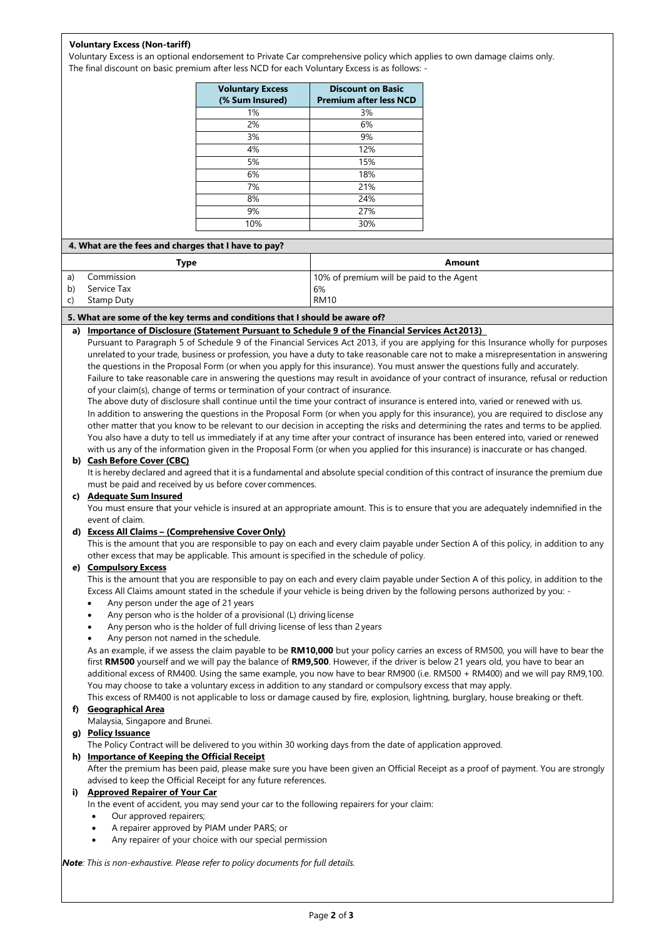# **Voluntary Excess (Non-tariff)**

Voluntary Excess is an optional endorsement to Private Car comprehensive policy which applies to own damage claims only. The final discount on basic premium after less NCD for each Voluntary Excess is as follows: -

| <b>Voluntary Excess</b><br>(% Sum Insured) | <b>Discount on Basic</b><br><b>Premium after less NCD</b> |
|--------------------------------------------|-----------------------------------------------------------|
| 1%                                         | 3%                                                        |
| 2%                                         | 6%                                                        |
| 3%                                         | 9%                                                        |
| 4%                                         | 12%                                                       |
| 5%                                         | 15%                                                       |
| 6%                                         | 18%                                                       |
| 7%                                         | 21%                                                       |
| 8%                                         | 24%                                                       |
| 9%                                         | 27%                                                       |
| 10%                                        | 30%                                                       |

|    | 4. What are the fees and charges that I have to pay? |                                          |  |
|----|------------------------------------------------------|------------------------------------------|--|
|    | Type                                                 | Amount                                   |  |
| a) | Commission                                           | 10% of premium will be paid to the Agent |  |
| b) | Service Tax                                          | 6%                                       |  |
|    | Stamp Duty                                           | <b>RM10</b>                              |  |
|    |                                                      |                                          |  |

## **5. What are some of the key terms and conditions that I should be aware of?**

**a) Importance of Disclosure (Statement Pursuant to Schedule 9 of the Financial Services Act2013)** 

Pursuant to Paragraph 5 of Schedule 9 of the Financial Services Act 2013, if you are applying for this Insurance wholly for purposes unrelated to your trade, business or profession, you have a duty to take reasonable care not to make a misrepresentation in answering the questions in the Proposal Form (or when you apply for this insurance). You must answer the questions fully and accurately. Failure to take reasonable care in answering the questions may result in avoidance of your contract of insurance, refusal or reduction of your claim(s), change of terms or termination of your contract of insurance.

The above duty of disclosure shall continue until the time your contract of insurance is entered into, varied or renewed with us. In addition to answering the questions in the Proposal Form (or when you apply for this insurance), you are required to disclose any other matter that you know to be relevant to our decision in accepting the risks and determining the rates and terms to be applied. You also have a duty to tell us immediately if at any time after your contract of insurance has been entered into, varied or renewed with us any of the information given in the Proposal Form (or when you applied for this insurance) is inaccurate or has changed.

#### **b) Cash Before Cover (CBC)**

It is hereby declared and agreed that it is a fundamental and absolute special condition of this contract of insurance the premium due must be paid and received by us before cover commences.

#### **c) Adequate Sum Insured**

You must ensure that your vehicle is insured at an appropriate amount. This is to ensure that you are adequately indemnified in the event of claim.

#### **d) Excess All Claims – (Comprehensive Cover Only)**

This is the amount that you are responsible to pay on each and every claim payable under Section A of this policy, in addition to any other excess that may be applicable. This amount is specified in the schedule of policy.

#### **e) Compulsory Excess**

This is the amount that you are responsible to pay on each and every claim payable under Section A of this policy, in addition to the Excess All Claims amount stated in the schedule if your vehicle is being driven by the following persons authorized by you: -

- Any person under the age of 21 years
- Any person who is the holder of a provisional (L) drivinglicense
- Any person who is the holder of full driving license of less than 2 years
- Any person not named in the schedule.

As an example, if we assess the claim payable to be **RM10,000** but your policy carries an excess of RM500, you will have to bear the first **RM500** yourself and we will pay the balance of **RM9,500**. However, if the driver is below 21 years old, you have to bear an additional excess of RM400. Using the same example, you now have to bear RM900 (i.e. RM500 + RM400) and we will pay RM9,100. You may choose to take a voluntary excess in addition to any standard or compulsory excess that may apply.

This excess of RM400 is not applicable to loss or damage caused by fire, explosion, lightning, burglary, house breaking or theft.

# **f) Geographical Area**

Malaysia, Singapore and Brunei.

**g) Policy Issuance**

The Policy Contract will be delivered to you within 30 working days from the date of application approved.

## **h) Importance of Keeping the Official Receipt**

After the premium has been paid, please make sure you have been given an Official Receipt as a proof of payment. You are strongly advised to keep the Official Receipt for any future references.

#### **i) Approved Repairer of Your Car**

In the event of accident, you may send your car to the following repairers for your claim:

- Our approved repairers;
- A repairer approved by PIAM under PARS; or
- Any repairer of your choice with our special permission

*Note: This is non-exhaustive. Please refer to policy documents for full details.*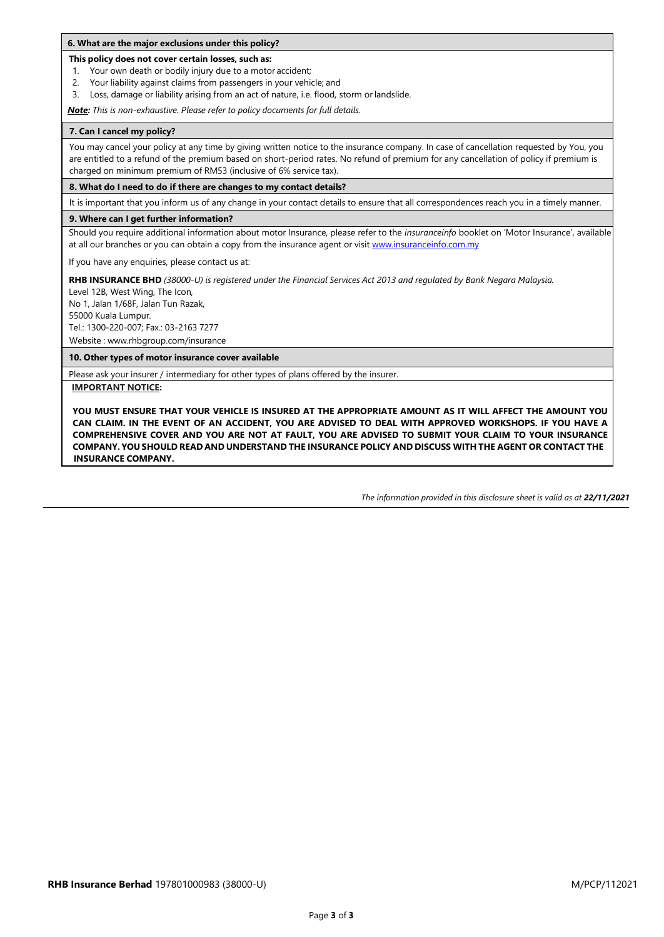#### **This policy does not cover certain losses, such as:**

- 1. Your own death or bodily injury due to a motor accident;
- 2. Your liability against claims from passengers in your vehicle; and
- 3. Loss, damage or liability arising from an act of nature, i.e. flood, storm or landslide.

*Note: This is non-exhaustive. Please refer to policy documents for full details.*

## **7. Can I cancel my policy?**

You may cancel your policy at any time by giving written notice to the insurance company. In case of cancellation requested by You, you are entitled to a refund of the premium based on short-period rates. No refund of premium for any cancellation of policy if premium is charged on minimum premium of RM53 (inclusive of 6% service tax).

**8. What do I need to do if there are changes to my contact details?**

It is important that you inform us of any change in your contact details to ensure that all correspondences reach you in a timely manner.

# **9. Where can I get further information?**

Should you require additional information about motor Insurance, please refer to the *insuranceinfo* booklet on 'Motor Insurance', available at all our branches or you can obtain a copy from the insurance agent or visi[t www.insuranceinfo.com.my](http://www.insuranceinfo.com.my/)

If you have any enquiries, please contact us at:

RHB INSURANCE BHD (38000-U) is registered under the Financial Services Act 2013 and regulated by Bank Negara Malaysia.

Level 12B, West Wing, The Icon, No 1, Jalan 1/68F, Jalan Tun Razak,

55000 Kuala Lumpur.

Tel.: 1300-220-007; Fax.: 03-2163 7277

Website : [www.rhbgroup.com/insurance](http://www.rhbgroup.com/insurance)

**10. Other types of motor insurance cover available**

Please ask your insurer / intermediary for other types of plans offered by the insurer.

**IMPORTANT NOTICE:**

**YOU MUST ENSURE THAT YOUR VEHICLE IS INSURED AT THE APPROPRIATE AMOUNT AS IT WILL AFFECT THE AMOUNT YOU CAN CLAIM. IN THE EVENT OF AN ACCIDENT, YOU ARE ADVISED TO DEAL WITH APPROVED WORKSHOPS. IF YOU HAVE A COMPREHENSIVE COVER AND YOU ARE NOT AT FAULT, YOU ARE ADVISED TO SUBMIT YOUR CLAIM TO YOUR INSURANCE COMPANY. YOU SHOULD READ AND UNDERSTAND THE INSURANCE POLICY AND DISCUSS WITH THE AGENT OR CONTACT THE INSURANCE COMPANY.**

*The information provided in this disclosure sheet is valid as at 22/11/2021*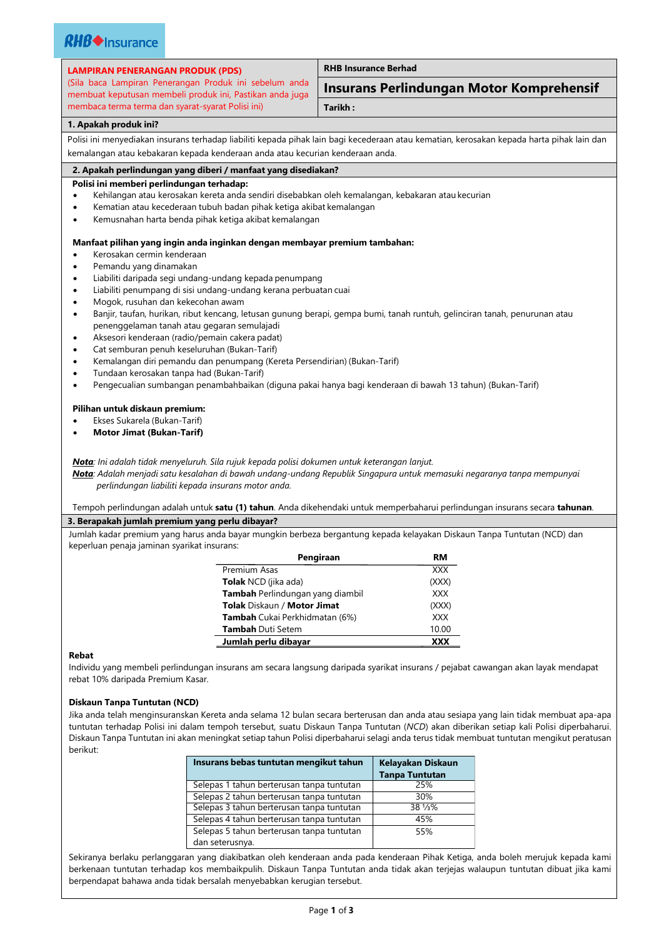| <b>LAMPIRAN PENERANGAN PRODUK (PDS)</b>                                                                                | <b>RHB Insurance Berhad</b>                                                                                                               |  |
|------------------------------------------------------------------------------------------------------------------------|-------------------------------------------------------------------------------------------------------------------------------------------|--|
| (Sila baca Lampiran Penerangan Produk ini sebelum anda<br>membuat keputusan membeli produk ini, Pastikan anda juga     | <b>Insurans Perlindungan Motor Komprehensif</b>                                                                                           |  |
| membaca terma terma dan syarat-syarat Polisi ini)                                                                      | Tarikh:                                                                                                                                   |  |
| 1. Apakah produk ini?                                                                                                  |                                                                                                                                           |  |
|                                                                                                                        | Polisi ini menyediakan insurans terhadap liabiliti kepada pihak lain bagi kecederaan atau kematian, kerosakan kepada harta pihak lain dan |  |
| kemalangan atau kebakaran kepada kenderaan anda atau kecurian kenderaan anda.                                          |                                                                                                                                           |  |
| 2. Apakah perlindungan yang diberi / manfaat yang disediakan?                                                          |                                                                                                                                           |  |
| Polisi ini memberi perlindungan terhadap:                                                                              |                                                                                                                                           |  |
| Kehilangan atau kerosakan kereta anda sendiri disebabkan oleh kemalangan, kebakaran atau kecurian                      |                                                                                                                                           |  |
| Kematian atau kecederaan tubuh badan pihak ketiga akibat kemalangan<br>$\bullet$                                       |                                                                                                                                           |  |
| Kemusnahan harta benda pihak ketiga akibat kemalangan<br>$\bullet$                                                     |                                                                                                                                           |  |
|                                                                                                                        |                                                                                                                                           |  |
| Manfaat pilihan yang ingin anda inginkan dengan membayar premium tambahan:                                             |                                                                                                                                           |  |
| Kerosakan cermin kenderaan                                                                                             |                                                                                                                                           |  |
| Pemandu yang dinamakan<br>٠                                                                                            |                                                                                                                                           |  |
| Liabiliti daripada segi undang-undang kepada penumpang<br>$\bullet$                                                    |                                                                                                                                           |  |
| Liabiliti penumpang di sisi undang-undang kerana perbuatan cuai<br>$\bullet$                                           |                                                                                                                                           |  |
| Mogok, rusuhan dan kekecohan awam<br>٠                                                                                 |                                                                                                                                           |  |
| $\bullet$                                                                                                              | Banjir, taufan, hurikan, ribut kencang, letusan gunung berapi, gempa bumi, tanah runtuh, gelinciran tanah, penurunan atau                 |  |
| penenggelaman tanah atau gegaran semulajadi                                                                            |                                                                                                                                           |  |
| Aksesori kenderaan (radio/pemain cakera padat)<br>$\bullet$                                                            |                                                                                                                                           |  |
| Cat semburan penuh keseluruhan (Bukan-Tarif)<br>$\bullet$                                                              |                                                                                                                                           |  |
| Kemalangan diri pemandu dan penumpang (Kereta Persendirian) (Bukan-Tarif)<br>٠                                         |                                                                                                                                           |  |
| Tundaan kerosakan tanpa had (Bukan-Tarif)                                                                              |                                                                                                                                           |  |
| Pengecualian sumbangan penambahbaikan (diguna pakai hanya bagi kenderaan di bawah 13 tahun) (Bukan-Tarif)<br>$\bullet$ |                                                                                                                                           |  |
| Pilihan untuk diskaun premium:                                                                                         |                                                                                                                                           |  |
| Ekses Sukarela (Bukan-Tarif)                                                                                           |                                                                                                                                           |  |
| <b>Motor Jimat (Bukan-Tarif)</b><br>٠                                                                                  |                                                                                                                                           |  |
|                                                                                                                        |                                                                                                                                           |  |
|                                                                                                                        |                                                                                                                                           |  |
| Nota: Ini adalah tidak menyeluruh. Sila rujuk kepada polisi dokumen untuk keterangan lanjut.                           | Nota: Adalah menjadi satu kesalahan di bawah undang-undang Republik Singapura untuk memasuki negaranya tanpa mempunyai                    |  |
| perlindungan liabiliti kepada insurans motor anda.                                                                     |                                                                                                                                           |  |
|                                                                                                                        |                                                                                                                                           |  |
|                                                                                                                        | Tempoh perlindungan adalah untuk satu (1) tahun. Anda dikehendaki untuk memperbaharui perlindungan insurans secara tahunan.               |  |
| 3. Berapakah jumlah premium yang perlu dibayar?                                                                        |                                                                                                                                           |  |
|                                                                                                                        | Jumlah kadar premium yang harus anda bayar mungkin berbeza bergantung kepada kelayakan Diskaun Tanpa Tuntutan (NCD) dan                   |  |
| keperluan penaja jaminan syarikat insurans:                                                                            |                                                                                                                                           |  |
|                                                                                                                        | Pengiraan<br><b>RM</b>                                                                                                                    |  |
| Premium Asas                                                                                                           | <b>XXX</b>                                                                                                                                |  |
| Tolak NCD (jika ada)                                                                                                   | (XXX)                                                                                                                                     |  |
| Tambah Perlindungan yang diambil                                                                                       | XXX                                                                                                                                       |  |
| Tolak Diskaun / Motor Jimat                                                                                            | (XXX)                                                                                                                                     |  |
| Tambah Cukai Perkhidmatan (6%)                                                                                         | <b>XXX</b>                                                                                                                                |  |
| Tambah Duti Setem                                                                                                      | 10.00                                                                                                                                     |  |
| Jumlah perlu dibayar                                                                                                   | <b>XXX</b>                                                                                                                                |  |
| Rebat                                                                                                                  |                                                                                                                                           |  |

Individu yang membeli perlindungan insurans am secara langsung daripada syarikat insurans / pejabat cawangan akan layak mendapat rebat 10% daripada Premium Kasar.

# **Diskaun Tanpa Tuntutan (NCD)**

Jika anda telah menginsuranskan Kereta anda selama 12 bulan secara berterusan dan anda atau sesiapa yang lain tidak membuat apa-apa tuntutan terhadap Polisi ini dalam tempoh tersebut, suatu Diskaun Tanpa Tuntutan (*NCD*) akan diberikan setiap kali Polisi diperbaharui. Diskaun Tanpa Tuntutan ini akan meningkat setiap tahun Polisi diperbaharui selagi anda terus tidak membuat tuntutan mengikut peratusan berikut:

| Insurans bebas tuntutan mengikut tahun    | <b>Kelayakan Diskaun</b><br><b>Tanpa Tuntutan</b> |
|-------------------------------------------|---------------------------------------------------|
| Selepas 1 tahun berterusan tanpa tuntutan | 25%                                               |
| Selepas 2 tahun berterusan tanpa tuntutan | 30%                                               |
| Selepas 3 tahun berterusan tanpa tuntutan | 38 1/3%                                           |
| Selepas 4 tahun berterusan tanpa tuntutan | 45%                                               |
| Selepas 5 tahun berterusan tanpa tuntutan | 55%                                               |
| dan seterusnya.                           |                                                   |

Sekiranya berlaku perlanggaran yang diakibatkan oleh kenderaan anda pada kenderaan Pihak Ketiga, anda boleh merujuk kepada kami berkenaan tuntutan terhadap kos membaikpulih. Diskaun Tanpa Tuntutan anda tidak akan terjejas walaupun tuntutan dibuat jika kami berpendapat bahawa anda tidak bersalah menyebabkan kerugian tersebut.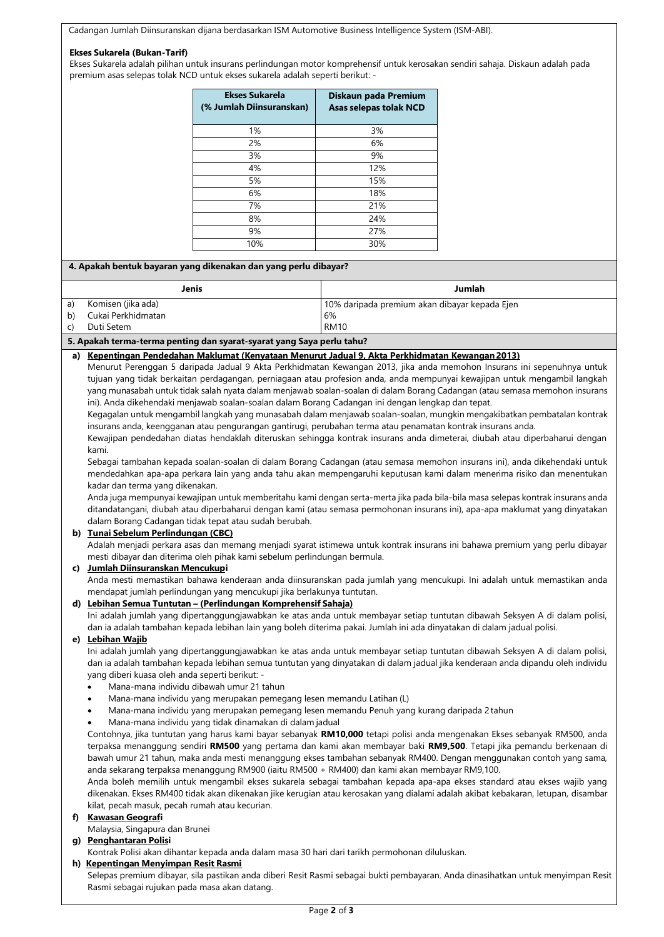Cadangan Jumlah Diinsuranskan dijana berdasarkan ISM Automotive Business Intelligence System (ISM-ABI).

#### **Ekses Sukarela (Bukan-Tarif)**

Ekses Sukarela adalah pilihan untuk insurans perlindungan motor komprehensif untuk kerosakan sendiri sahaja. Diskaun adalah pada premium asas selepas tolak NCD untuk ekses sukarela adalah seperti berikut: -

| <b>Ekses Sukarela</b><br>(% Jumlah Diinsuranskan) | Diskaun pada Premium<br><b>Asas selepas tolak NCD</b> |
|---------------------------------------------------|-------------------------------------------------------|
| 1%                                                | 3%                                                    |
| 2%                                                | 6%                                                    |
| 3%                                                | 9%                                                    |
| 4%                                                | 12%                                                   |
| 5%                                                | 15%                                                   |
| 6%                                                | 18%                                                   |
| 7%                                                | 21%                                                   |
| 8%                                                | 24%                                                   |
| 9%                                                | 27%                                                   |
| 10%                                               | 30%                                                   |

# **4. Apakah bentuk bayaran yang dikenakan dan yang perlu dibayar?**

|    | Jenis              | Jumlah                                        |
|----|--------------------|-----------------------------------------------|
| a) | Komisen (jika ada) | 10% daripada premium akan dibayar kepada Ejen |
| b) | Cukai Perkhidmatan | 6%                                            |
|    | Duti Setem         | <b>RM10</b>                                   |
|    |                    |                                               |

#### **5. Apakah terma-terma penting dan syarat-syarat yang Saya perlu tahu?**

#### **a) Kepentingan Pendedahan Maklumat (Kenyataan Menurut Jadual 9, Akta Perkhidmatan Kewangan2013)**

Menurut Perenggan 5 daripada Jadual 9 Akta Perkhidmatan Kewangan 2013, jika anda memohon Insurans ini sepenuhnya untuk tujuan yang tidak berkaitan perdagangan, perniagaan atau profesion anda, anda mempunyai kewajipan untuk mengambil langkah yang munasabah untuk tidak salah nyata dalam menjawab soalan-soalan di dalam Borang Cadangan (atau semasa memohon insurans ini). Anda dikehendaki menjawab soalan-soalan dalam Borang Cadangan ini dengan lengkap dan tepat.

Kegagalan untuk mengambil langkah yang munasabah dalam menjawab soalan-soalan, mungkin mengakibatkan pembatalan kontrak insurans anda, keengganan atau pengurangan gantirugi, perubahan terma atau penamatan kontrak insurans anda.

Kewajipan pendedahan diatas hendaklah diteruskan sehingga kontrak insurans anda dimeterai, diubah atau diperbaharui dengan kami.

Sebagai tambahan kepada soalan-soalan di dalam Borang Cadangan (atau semasa memohon insurans ini), anda dikehendaki untuk mendedahkan apa-apa perkara lain yang anda tahu akan mempengaruhi keputusan kami dalam menerima risiko dan menentukan kadar dan terma yang dikenakan.

Anda juga mempunyai kewajipan untuk memberitahu kami dengan serta-merta jika pada bila-bila masa selepas kontrak insurans anda ditandatangani, diubah atau diperbaharui dengan kami (atau semasa permohonan insurans ini), apa-apa maklumat yang dinyatakan dalam Borang Cadangan tidak tepat atau sudah berubah.

## **b) Tunai Sebelum Perlindungan (CBC)**

Adalah menjadi perkara asas dan memang menjadi syarat istimewa untuk kontrak insurans ini bahawa premium yang perlu dibayar mesti dibayar dan diterima oleh pihak kami sebelum perlindungan bermula.

**c) Jumlah Diinsuranskan Mencukupi** Anda mesti memastikan bahawa kenderaan anda diinsuranskan pada jumlah yang mencukupi. Ini adalah untuk memastikan anda mendapat jumlah perlindungan yang mencukupi jika berlakunya tuntutan.

# **d) Lebihan Semua Tuntutan – (Perlindungan Komprehensif Sahaja)**

Ini adalah jumlah yang dipertanggungjawabkan ke atas anda untuk membayar setiap tuntutan dibawah Seksyen A di dalam polisi, dan ia adalah tambahan kepada lebihan lain yang boleh diterima pakai. Jumlah ini ada dinyatakan di dalam jadual polisi.

#### **e) Lebihan Wajib**

Ini adalah jumlah yang dipertanggungjawabkan ke atas anda untuk membayar setiap tuntutan dibawah Seksyen A di dalam polisi, dan ia adalah tambahan kepada lebihan semua tuntutan yang dinyatakan di dalam jadual jika kenderaan anda dipandu oleh individu yang diberi kuasa oleh anda seperti berikut: -

- Mana-mana individu dibawah umur 21 tahun
- Mana-mana individu yang merupakan pemegang lesen memandu Latihan (L)
- Mana-mana individu yang merupakan pemegang lesen memandu Penuh yang kurang daripada 2 tahun
- Mana-mana individu yang tidak dinamakan di dalam jadual

Contohnya, jika tuntutan yang harus kami bayar sebanyak **RM10,000** tetapi polisi anda mengenakan Ekses sebanyak RM500, anda terpaksa menanggung sendiri **RM500** yang pertama dan kami akan membayar baki **RM9,500**. Tetapi jika pemandu berkenaan di bawah umur 21 tahun, maka anda mesti menanggung ekses tambahan sebanyak RM400. Dengan menggunakan contoh yang sama, anda sekarang terpaksa menanggung RM900 (iaitu RM500 + RM400) dan kami akan membayar RM9,100.

Anda boleh memilih untuk mengambil ekses sukarela sebagai tambahan kepada apa-apa ekses standard atau ekses wajib yang dikenakan. Ekses RM400 tidak akan dikenakan jike kerugian atau kerosakan yang dialami adalah akibat kebakaran, letupan, disambar kilat, pecah masuk, pecah rumah atau kecurian.

# **f) Kawasan Geografi**

Malaysia, Singapura dan Brunei

#### **g) Penghantaran Polisi**

Kontrak Polisi akan dihantar kepada anda dalam masa 30 hari dari tarikh permohonan diluluskan.

**h) Kepentingan Menyimpan Resit Rasmi**

Selepas premium dibayar, sila pastikan anda diberi Resit Rasmi sebagai bukti pembayaran. Anda dinasihatkan untuk menyimpan Resit Rasmi sebagai rujukan pada masa akan datang.